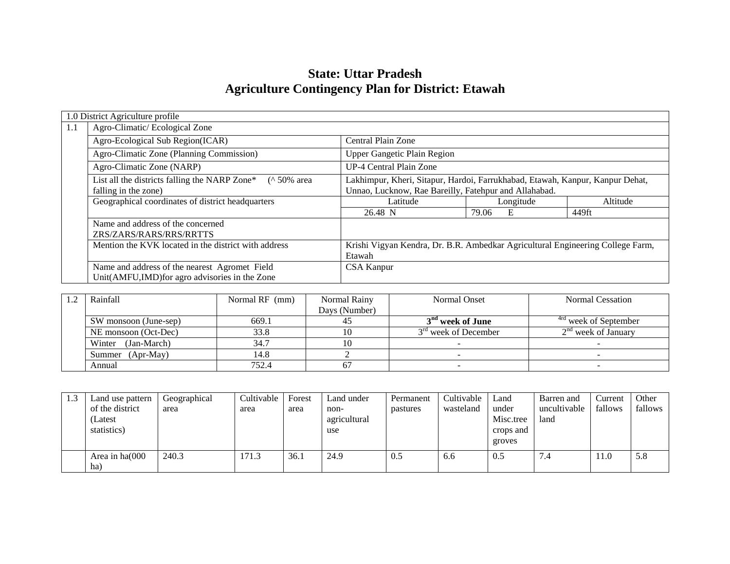# **State: Uttar Pradesh Agriculture Contingency Plan for District: Etawah**

|                                                      | 1.0 District Agriculture profile                                                                                                                                                                                                  |                                                                                |            |          |  |  |  |  |
|------------------------------------------------------|-----------------------------------------------------------------------------------------------------------------------------------------------------------------------------------------------------------------------------------|--------------------------------------------------------------------------------|------------|----------|--|--|--|--|
| 1.1                                                  | Agro-Climatic/Ecological Zone                                                                                                                                                                                                     |                                                                                |            |          |  |  |  |  |
|                                                      | Agro-Ecological Sub Region(ICAR)<br>Central Plain Zone                                                                                                                                                                            |                                                                                |            |          |  |  |  |  |
|                                                      | Agro-Climatic Zone (Planning Commission)<br><b>Upper Gangetic Plain Region</b>                                                                                                                                                    |                                                                                |            |          |  |  |  |  |
| UP-4 Central Plain Zone<br>Agro-Climatic Zone (NARP) |                                                                                                                                                                                                                                   |                                                                                |            |          |  |  |  |  |
|                                                      | List all the districts falling the NARP Zone*<br>Lakhimpur, Kheri, Sitapur, Hardoi, Farrukhabad, Etawah, Kanpur, Kanpur Dehat,<br>$($ ^ 50% area<br>Unnao, Lucknow, Rae Bareilly, Fatehpur and Allahabad.<br>falling in the zone) |                                                                                |            |          |  |  |  |  |
|                                                      | Geographical coordinates of district headquarters                                                                                                                                                                                 | Latitude                                                                       | Longitude  | Altitude |  |  |  |  |
|                                                      |                                                                                                                                                                                                                                   | 26.48 N                                                                        | 79.06<br>E | 449ft    |  |  |  |  |
|                                                      | Name and address of the concerned<br>ZRS/ZARS/RARS/RRS/RRTTS                                                                                                                                                                      |                                                                                |            |          |  |  |  |  |
|                                                      | Mention the KVK located in the district with address                                                                                                                                                                              | Krishi Vigyan Kendra, Dr. B.R. Ambedkar Agricultural Engineering College Farm, |            |          |  |  |  |  |
|                                                      | Name and address of the nearest Agromet Field<br>Unit(AMFU,IMD) for agro advisories in the Zone                                                                                                                                   | <b>CSA Kanpur</b>                                                              |            |          |  |  |  |  |

| 1.2 | Rainfall              | Normal RF (mm) | Normal Rainy  | Normal Onset                 | Normal Cessation                 |
|-----|-----------------------|----------------|---------------|------------------------------|----------------------------------|
|     |                       |                | Days (Number) |                              |                                  |
|     | SW monsoon (June-sep) | 669.1          |               | 3 <sup>nd</sup> week of June | <sup>4rd</sup> week of September |
|     | NE monsoon (Oct-Dec)  | 33.8           |               | $3rd$ week of December       | $2nd$ week of January            |
|     | (Jan-March)<br>Winter | 34.7           |               |                              |                                  |
|     | $(Apr-May)$<br>Summer | 14.8           |               |                              |                                  |
|     | Annual                | 752.4          |               |                              |                                  |

| 1.3 | Land use pattern           | Geographical | Cultivable | Forest | Land under           | Permanent | Cultivable | Land                | Barren and           | Current | Other   |
|-----|----------------------------|--------------|------------|--------|----------------------|-----------|------------|---------------------|----------------------|---------|---------|
|     | of the district<br>(Latest | area         | area       | area   | non-<br>agricultural | pastures  | wasteland  | under<br>Misc.tree  | uncultivable<br>land | fallows | fallows |
|     | statistics)                |              |            |        | use                  |           |            | crops and<br>groves |                      |         |         |
|     | Area in ha(000<br>ha)      | 240.3        | 171.3      | 36.1   | 24.9                 | 0.5       | 6.6        | 0.5                 | 7.4                  | 11.0    | 5.8     |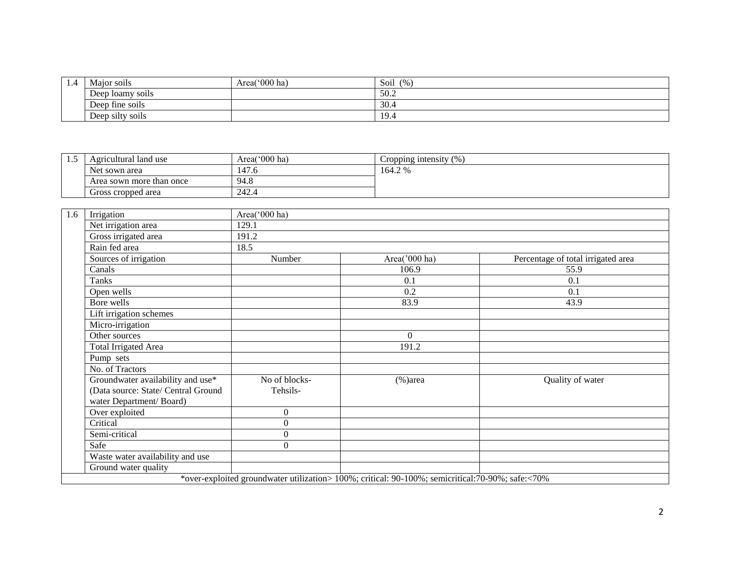| 1.4 | Major soils                         | Area(' $000$ ha) | (9/6)<br>Soil |
|-----|-------------------------------------|------------------|---------------|
|     | $\cdot$ $\cdot$<br>Deep loamy soils |                  | 50.2          |
|     | Deep fine soils                     |                  | 30.4          |
|     | Deep silty soils                    |                  | 19.4          |

| ن د ک | Agricultural land use    | Area('000 ha) | Cropping intensity<br>$^{\prime}$ % |
|-------|--------------------------|---------------|-------------------------------------|
|       | Net sown area            | 147.6         | 164.2 %                             |
|       | Area sown more than once | 94.8          |                                     |
|       | Gross cropped area       | 242.4         |                                     |

| 1.6 | Irrigation                          | Area('000 ha) |                                                                                                   |                                    |  |  |  |  |  |
|-----|-------------------------------------|---------------|---------------------------------------------------------------------------------------------------|------------------------------------|--|--|--|--|--|
|     | Net irrigation area                 | 129.1         |                                                                                                   |                                    |  |  |  |  |  |
|     | Gross irrigated area                | 191.2         |                                                                                                   |                                    |  |  |  |  |  |
|     | Rain fed area                       | 18.5          |                                                                                                   |                                    |  |  |  |  |  |
|     | Sources of irrigation               | Number        | Area('000 ha)                                                                                     | Percentage of total irrigated area |  |  |  |  |  |
|     | Canals                              |               | 106.9                                                                                             | 55.9                               |  |  |  |  |  |
|     | Tanks                               |               | 0.1                                                                                               | 0.1                                |  |  |  |  |  |
|     | Open wells                          |               | 0.2                                                                                               | 0.1                                |  |  |  |  |  |
|     | Bore wells                          |               | 83.9                                                                                              | 43.9                               |  |  |  |  |  |
|     | Lift irrigation schemes             |               |                                                                                                   |                                    |  |  |  |  |  |
|     | Micro-irrigation                    |               |                                                                                                   |                                    |  |  |  |  |  |
|     | Other sources                       |               | 0                                                                                                 |                                    |  |  |  |  |  |
|     | <b>Total Irrigated Area</b>         |               | 191.2                                                                                             |                                    |  |  |  |  |  |
|     | Pump sets                           |               |                                                                                                   |                                    |  |  |  |  |  |
|     | No. of Tractors                     |               |                                                                                                   |                                    |  |  |  |  |  |
|     | Groundwater availability and use*   | No of blocks- | $%$ )area                                                                                         | Quality of water                   |  |  |  |  |  |
|     | (Data source: State/ Central Ground | Tehsils-      |                                                                                                   |                                    |  |  |  |  |  |
|     | water Department/Board)             |               |                                                                                                   |                                    |  |  |  |  |  |
|     | Over exploited                      | $\Omega$      |                                                                                                   |                                    |  |  |  |  |  |
|     | Critical                            | $\Omega$      |                                                                                                   |                                    |  |  |  |  |  |
|     | Semi-critical                       | $\Omega$      |                                                                                                   |                                    |  |  |  |  |  |
|     | Safe                                | $\Omega$      |                                                                                                   |                                    |  |  |  |  |  |
|     | Waste water availability and use    |               |                                                                                                   |                                    |  |  |  |  |  |
|     | Ground water quality                |               |                                                                                                   |                                    |  |  |  |  |  |
|     |                                     |               | *over-exploited groundwater utilization> 100%; critical: 90-100%; semicritical: 70-90%; safe:<70% |                                    |  |  |  |  |  |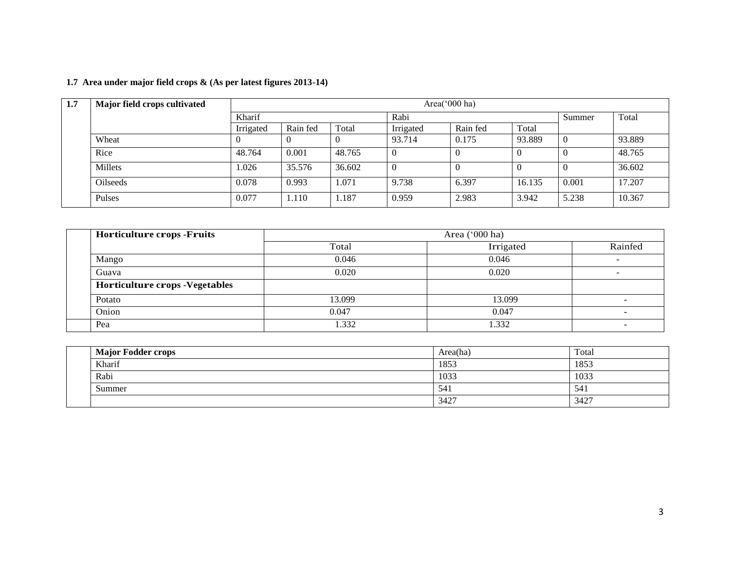| 1.7 Area under major field crops & (As per latest figures 2013-14) |  |  |  |
|--------------------------------------------------------------------|--|--|--|
|                                                                    |  |  |  |

| 1.7 | Major field crops cultivated |           | Area('000 ha) |        |           |          |        |          |        |
|-----|------------------------------|-----------|---------------|--------|-----------|----------|--------|----------|--------|
|     |                              | Kharif    |               |        | Rabi      |          |        | Summer   | Total  |
|     |                              | Irrigated | Rain fed      | Total  | Irrigated | Rain fed | Total  |          |        |
|     | Wheat                        |           |               |        | 93.714    | 0.175    | 93.889 | $\theta$ | 93.889 |
|     | Rice                         | 48.764    | 0.001         | 48.765 |           | -0       |        |          | 48.765 |
|     | Millets                      | 1.026     | 35.576        | 36.602 |           | -0       |        |          | 36.602 |
|     | <b>Oilseeds</b>              | 0.078     | 0.993         | 1.071  | 9.738     | 6.397    | 16.135 | 0.001    | 17.207 |
|     | Pulses                       | 0.077     | 1.110         | 1.187  | 0.959     | 2.983    | 3.942  | 5.238    | 10.367 |

| <b>Horticulture crops -Fruits</b>     |        | Area $('000 ha)$ |         |
|---------------------------------------|--------|------------------|---------|
|                                       | Total  | Irrigated        | Rainfed |
| Mango                                 | 0.046  | 0.046            |         |
| Guava                                 | 0.020  | 0.020            |         |
| <b>Horticulture crops -Vegetables</b> |        |                  |         |
| Potato                                | 13.099 | 13.099           |         |
| Onion                                 | 0.047  | 0.047            |         |
| Pea                                   | .332   | 1.332            |         |

|  | <b>Major Fodder crops</b> | Area(ha) | Total |
|--|---------------------------|----------|-------|
|  | Kharif                    | 1853     | 1853  |
|  | Rabi                      | 1033     | 1033  |
|  | Summer                    | 541      | 541   |
|  |                           | 3427     | 3427  |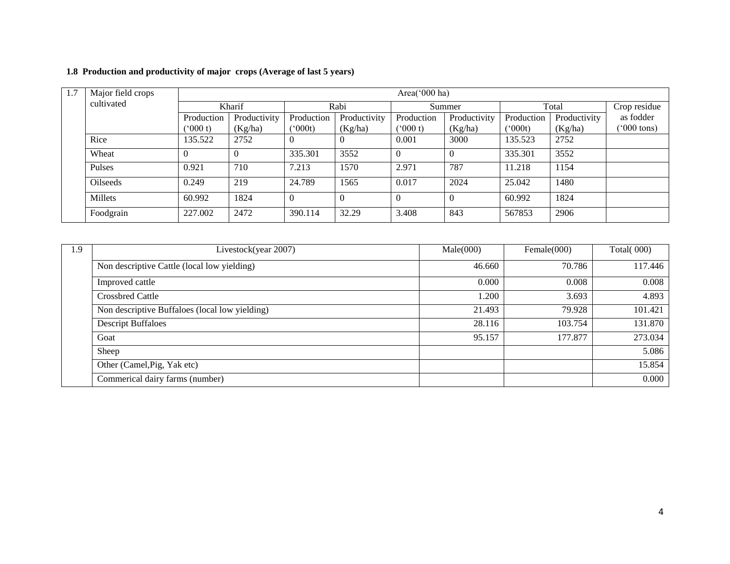## **1.8 Production and productivity of major crops (Average of last 5 years)**

| -1.7 | Major field crops<br>cultivated |                   |              |              |              | Area(' $000$ ha) |              |              |              |                      |
|------|---------------------------------|-------------------|--------------|--------------|--------------|------------------|--------------|--------------|--------------|----------------------|
|      |                                 |                   | Kharif       |              | Rabi         |                  | Summer       |              | Total        | Crop residue         |
|      |                                 | Production        | Productivity | Production   | Productivity | Production       | Productivity | Production   | Productivity | as fodder            |
|      |                                 | $^{\prime}000$ t) | (Kg/ha)      | $(^{o}000t)$ | (Kg/ha)      | (5000 t)         | (Kg/ha)      | $(^{o}000t)$ | (Kg/ha)      | $(000 \text{ tons})$ |
|      | Rice                            | 135.522           | 2752         | v            | $\Omega$     | 0.001            | 3000         | 135.523      | 2752         |                      |
|      | Wheat                           | $\overline{0}$    | $\theta$     | 335.301      | 3552         | $\overline{0}$   |              | 335.301      | 3552         |                      |
|      | Pulses                          | 0.921             | 710          | 7.213        | 1570         | 2.971            | 787          | 11.218       | 1154         |                      |
|      | <b>Oilseeds</b>                 | 0.249             | 219          | 24.789       | 1565         | 0.017            | 2024         | 25.042       | 1480         |                      |
|      | Millets                         | 60.992            | 1824         | $\Omega$     | $\Omega$     | $\Omega$         |              | 60.992       | 1824         |                      |
|      | Foodgrain                       | 227.002           | 2472         | 390.114      | 32.29        | 3.408            | 843          | 567853       | 2906         |                      |

| 1.9 | Livestock(year 2007)                           | Male(000) | Female $(000)$ | <b>Total(000)</b> |
|-----|------------------------------------------------|-----------|----------------|-------------------|
|     | Non descriptive Cattle (local low yielding)    | 46.660    | 70.786         | 117.446           |
|     | Improved cattle                                | 0.000     | 0.008          | 0.008             |
|     | <b>Crossbred Cattle</b>                        | 1.200     | 3.693          | 4.893             |
|     | Non descriptive Buffaloes (local low yielding) | 21.493    | 79.928         | 101.421           |
|     | <b>Descript Buffaloes</b>                      | 28.116    | 103.754        | 131.870           |
|     | Goat                                           | 95.157    | 177.877        | 273.034           |
|     | Sheep                                          |           |                | 5.086             |
|     | Other (Camel, Pig, Yak etc)                    |           |                | 15.854            |
|     | Commerical dairy farms (number)                |           |                | 0.000             |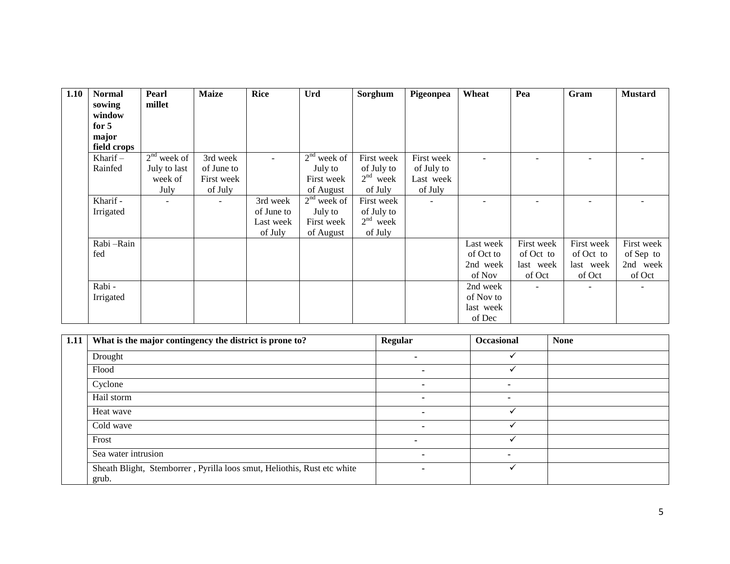| 1.10 | <b>Normal</b> | Pearl         | <b>Maize</b> | <b>Rice</b> | <b>Urd</b>    | Sorghum    | Pigeonpea  | Wheat     | Pea        | Gram       | <b>Mustard</b> |
|------|---------------|---------------|--------------|-------------|---------------|------------|------------|-----------|------------|------------|----------------|
|      | sowing        | millet        |              |             |               |            |            |           |            |            |                |
|      | window        |               |              |             |               |            |            |           |            |            |                |
|      | for $5$       |               |              |             |               |            |            |           |            |            |                |
|      | major         |               |              |             |               |            |            |           |            |            |                |
|      | field crops   |               |              |             |               |            |            |           |            |            |                |
|      | Kharif $-$    | $2nd$ week of | 3rd week     |             | $2nd$ week of | First week | First week |           |            |            |                |
|      | Rainfed       | July to last  | of June to   |             | July to       | of July to | of July to |           |            |            |                |
|      |               | week of       | First week   |             | First week    | $2nd$ week | Last week  |           |            |            |                |
|      |               | July          | of July      |             | of August     | of July    | of July    |           |            |            |                |
|      | Kharif -      |               | ٠            | 3rd week    | $2nd$ week of | First week | $\sim$     |           |            |            |                |
|      | Irrigated     |               |              | of June to  | July to       | of July to |            |           |            |            |                |
|      |               |               |              | Last week   | First week    | $2nd$ week |            |           |            |            |                |
|      |               |               |              | of July     | of August     | of July    |            |           |            |            |                |
|      | Rabi-Rain     |               |              |             |               |            |            | Last week | First week | First week | First week     |
|      | fed           |               |              |             |               |            |            | of Oct to | of Oct to  | of Oct to  | of Sep to      |
|      |               |               |              |             |               |            |            | 2nd week  | last week  | last week  | 2nd week       |
|      |               |               |              |             |               |            |            | of Nov    | of Oct     | of Oct     | of Oct         |
|      | Rabi -        |               |              |             |               |            |            | 2nd week  |            |            |                |
|      | Irrigated     |               |              |             |               |            |            | of Nov to |            |            |                |
|      |               |               |              |             |               |            |            | last week |            |            |                |
|      |               |               |              |             |               |            |            | of Dec    |            |            |                |

| 1.11 | What is the major contingency the district is prone to?                          | <b>Regular</b>           | <b>Occasional</b> | <b>None</b> |
|------|----------------------------------------------------------------------------------|--------------------------|-------------------|-------------|
|      | Drought                                                                          |                          |                   |             |
|      | Flood                                                                            |                          |                   |             |
|      | Cyclone                                                                          |                          | -                 |             |
|      | Hail storm                                                                       |                          |                   |             |
|      | Heat wave                                                                        |                          |                   |             |
|      | Cold wave                                                                        | $\overline{\phantom{a}}$ |                   |             |
|      | Frost                                                                            | -                        |                   |             |
|      | Sea water intrusion                                                              | $\overline{\phantom{a}}$ |                   |             |
|      | Sheath Blight, Stemborrer, Pyrilla loos smut, Heliothis, Rust etc white<br>grub. | $\overline{\phantom{a}}$ |                   |             |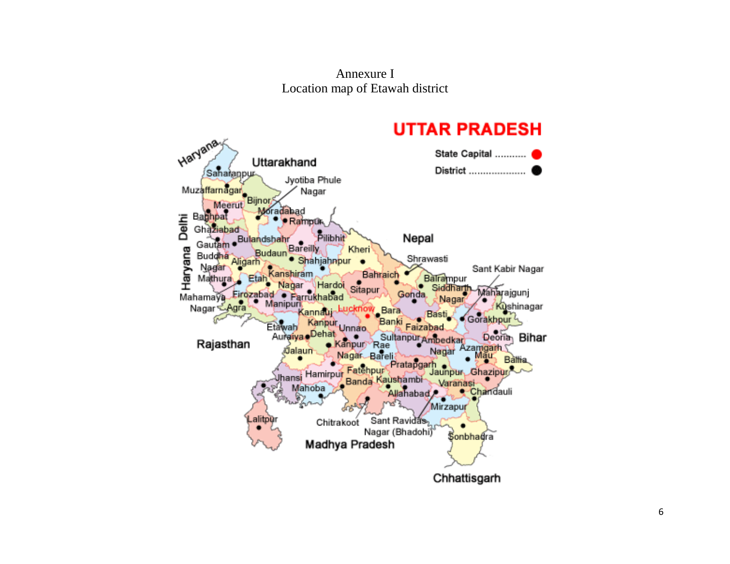Annexure I Location map of Etawah district

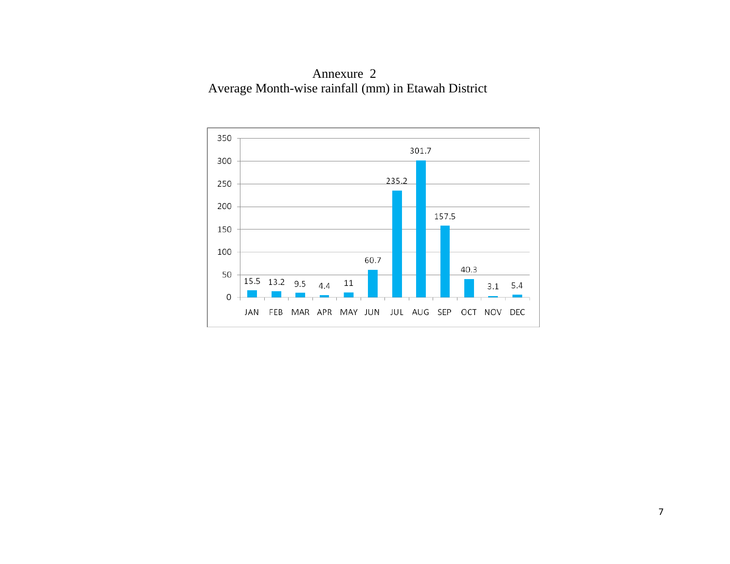Annexure 2 Average Month-wise rainfall (mm) in Etawah District

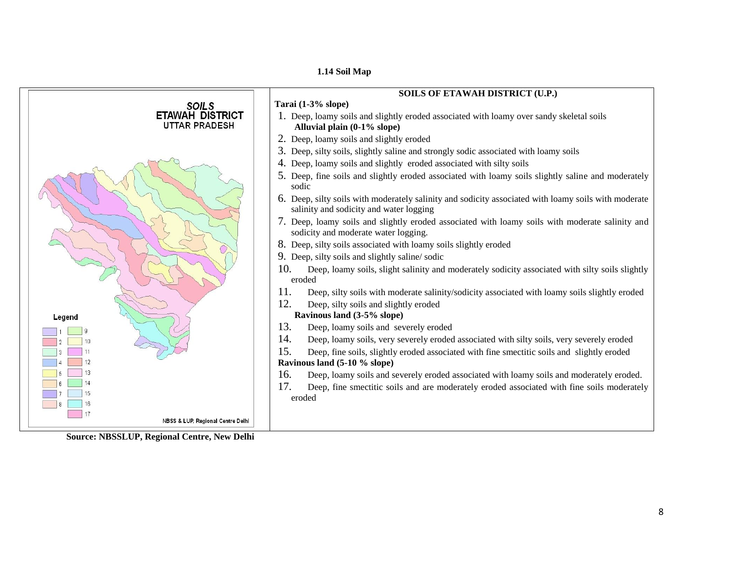#### **1.14 Soil Map**

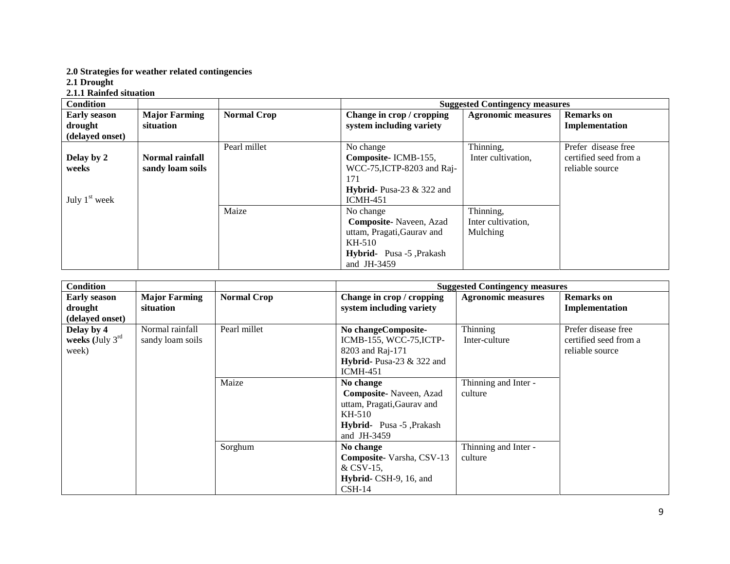#### **2.0 Strategies for weather related contingencies**

**2.1 Drought** 

#### **2.1.1 Rainfed situation**

| <b>Condition</b>                       |                                     |                    |                                                                                                                                 | <b>Suggested Contingency measures</b>       |                                                                 |
|----------------------------------------|-------------------------------------|--------------------|---------------------------------------------------------------------------------------------------------------------------------|---------------------------------------------|-----------------------------------------------------------------|
| <b>Early season</b>                    | <b>Major Farming</b>                | <b>Normal Crop</b> | Change in crop / cropping                                                                                                       | <b>Agronomic measures</b>                   | <b>Remarks</b> on                                               |
| drought                                | situation                           |                    | system including variety                                                                                                        |                                             | Implementation                                                  |
| (delayed onset)                        |                                     |                    |                                                                                                                                 |                                             |                                                                 |
| Delay by 2<br>weeks<br>July $1st$ week | Normal rainfall<br>sandy loam soils | Pearl millet       | No change<br>Composite-ICMB-155,<br>WCC-75, ICTP-8203 and Raj-<br>171<br><b>Hybrid-</b> Pusa-23 $\&$ 322 and<br><b>ICMH-451</b> | Thinning,<br>Inter cultivation,             | Prefer disease free<br>certified seed from a<br>reliable source |
|                                        |                                     | Maize              | No change<br>Composite-Naveen, Azad<br>uttam, Pragati, Gaurav and<br>KH-510<br>Hybrid- Pusa -5, Prakash<br>and JH $-3459$       | Thinning,<br>Inter cultivation,<br>Mulching |                                                                 |

| <b>Condition</b>                                   |                                     |                    |                                                                                                                        | <b>Suggested Contingency measures</b> |                                                                 |
|----------------------------------------------------|-------------------------------------|--------------------|------------------------------------------------------------------------------------------------------------------------|---------------------------------------|-----------------------------------------------------------------|
| <b>Early season</b><br>drought<br>(delayed onset)  | <b>Major Farming</b><br>situation   | <b>Normal Crop</b> | Change in crop / cropping<br>system including variety                                                                  | <b>Agronomic measures</b>             | <b>Remarks</b> on<br>Implementation                             |
| Delay by 4<br>weeks (July $3^{\text{rd}}$<br>week) | Normal rainfall<br>sandy loam soils | Pearl millet       | No changeComposite-<br>ICMB-155, WCC-75, ICTP-<br>8203 and Raj-171<br>Hybrid-Pusa-23 $&$ 322 and<br>$ICMH-451$         | Thinning<br>Inter-culture             | Prefer disease free<br>certified seed from a<br>reliable source |
|                                                    |                                     | Maize              | No change<br>Composite-Naveen, Azad<br>uttam, Pragati, Gaurav and<br>KH-510<br>Hybrid- Pusa -5, Prakash<br>and JH-3459 | Thinning and Inter -<br>culture       |                                                                 |
|                                                    |                                     | Sorghum            | No change<br>Composite-Varsha, CSV-13<br>$&$ CSV-15,<br>Hybrid- CSH-9, 16, and<br>$CSH-14$                             | Thinning and Inter -<br>culture       |                                                                 |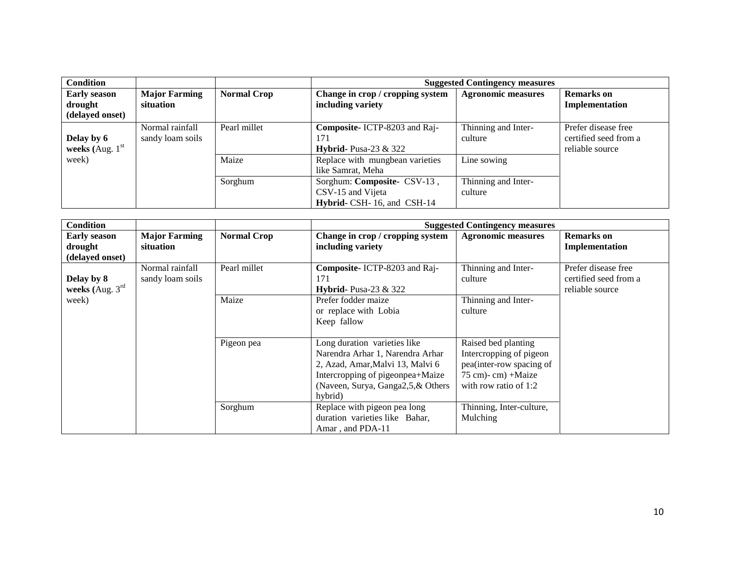| <b>Condition</b>                                  |                                     |                    |                                                                                | <b>Suggested Contingency measures</b> |                                                                 |
|---------------------------------------------------|-------------------------------------|--------------------|--------------------------------------------------------------------------------|---------------------------------------|-----------------------------------------------------------------|
| <b>Early season</b><br>drought<br>(delayed onset) | <b>Major Farming</b><br>situation   | <b>Normal Crop</b> | Change in crop / cropping system<br>including variety                          | <b>Agronomic measures</b>             | <b>Remarks</b> on<br>Implementation                             |
| Delay by 6<br>weeks (Aug. $1st$                   | Normal rainfall<br>sandy loam soils | Pearl millet       | Composite- ICTP-8203 and Raj-<br>171<br><b>Hybrid-</b> Pusa-23 $\&$ 322        | Thinning and Inter-<br>culture        | Prefer disease free<br>certified seed from a<br>reliable source |
| week)                                             |                                     | Maize              | Replace with mungbean varieties<br>like Samrat, Meha                           | Line sowing                           |                                                                 |
|                                                   |                                     | Sorghum            | Sorghum: Composite- CSV-13,<br>CSV-15 and Vijeta<br>Hybrid- CSH-16, and CSH-14 | Thinning and Inter-<br>culture        |                                                                 |

| <b>Condition</b>                                  |                                     |                    |                                                                                                                                                                                          | <b>Suggested Contingency measures</b>                                                                                              |                                                                 |
|---------------------------------------------------|-------------------------------------|--------------------|------------------------------------------------------------------------------------------------------------------------------------------------------------------------------------------|------------------------------------------------------------------------------------------------------------------------------------|-----------------------------------------------------------------|
| <b>Early season</b><br>drought<br>(delayed onset) | <b>Major Farming</b><br>situation   | <b>Normal Crop</b> | Change in crop / cropping system<br>including variety                                                                                                                                    | <b>Agronomic measures</b>                                                                                                          | <b>Remarks</b> on<br>Implementation                             |
| Delay by 8<br>weeks (Aug. $3^{\text{rd}}$ )       | Normal rainfall<br>sandy loam soils | Pearl millet       | Composite- ICTP-8203 and Raj-<br>171<br><b>Hybrid-</b> Pusa-23 $\&$ 322                                                                                                                  | Thinning and Inter-<br>culture                                                                                                     | Prefer disease free<br>certified seed from a<br>reliable source |
| week)                                             |                                     | Maize              | Prefer fodder maize<br>or replace with Lobia<br>Keep fallow                                                                                                                              | Thinning and Inter-<br>culture                                                                                                     |                                                                 |
|                                                   |                                     | Pigeon pea         | Long duration varieties like<br>Narendra Arhar 1, Narendra Arhar<br>2, Azad, Amar, Malvi 13, Malvi 6<br>Intercropping of pigeonpea+Maize<br>(Naveen, Surya, Ganga2,5,& Others<br>hybrid) | Raised bed planting<br>Intercropping of pigeon<br>pea(inter-row spacing of<br>$75$ cm $)$ - cm $)$ +Maize<br>with row ratio of 1:2 |                                                                 |
|                                                   |                                     | Sorghum            | Replace with pigeon pea long<br>duration varieties like Bahar,<br>Amar, and PDA-11                                                                                                       | Thinning, Inter-culture,<br>Mulching                                                                                               |                                                                 |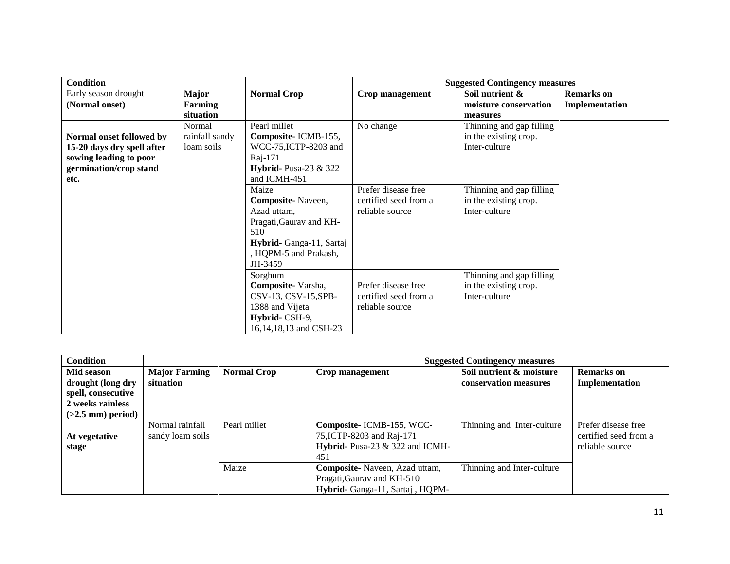| <b>Condition</b>           |                |                                 |                       | <b>Suggested Contingency measures</b> |                   |
|----------------------------|----------------|---------------------------------|-----------------------|---------------------------------------|-------------------|
| Early season drought       | <b>Major</b>   | <b>Normal Crop</b>              | Crop management       | Soil nutrient &                       | <b>Remarks</b> on |
| (Normal onset)             | Farming        |                                 |                       | moisture conservation                 | Implementation    |
|                            | situation      |                                 |                       | measures                              |                   |
|                            | Normal         | Pearl millet                    | No change             | Thinning and gap filling              |                   |
| Normal onset followed by   | rainfall sandy | Composite-ICMB-155,             |                       | in the existing crop.                 |                   |
| 15-20 days dry spell after | loam soils     | WCC-75, ICTP-8203 and           |                       | Inter-culture                         |                   |
| sowing leading to poor     |                | Raj-171                         |                       |                                       |                   |
| germination/crop stand     |                | <b>Hybrid-</b> Pusa-23 $\&$ 322 |                       |                                       |                   |
| etc.                       |                | and ICMH-451                    |                       |                                       |                   |
|                            |                | Maize                           | Prefer disease free   | Thinning and gap filling              |                   |
|                            |                | Composite-Naveen,               | certified seed from a | in the existing crop.                 |                   |
|                            |                | Azad uttam,                     | reliable source       | Inter-culture                         |                   |
|                            |                | Pragati, Gaurav and KH-         |                       |                                       |                   |
|                            |                | 510                             |                       |                                       |                   |
|                            |                | Hybrid-Ganga-11, Sartaj         |                       |                                       |                   |
|                            |                | , HQPM-5 and Prakash,           |                       |                                       |                   |
|                            |                | JH-3459                         |                       |                                       |                   |
|                            |                | Sorghum                         |                       | Thinning and gap filling              |                   |
|                            |                | Composite-Varsha,               | Prefer disease free   | in the existing crop.                 |                   |
|                            |                | CSV-13, CSV-15, SPB-            | certified seed from a | Inter-culture                         |                   |
|                            |                | 1388 and Vijeta                 | reliable source       |                                       |                   |
|                            |                | Hybrid-CSH-9,                   |                       |                                       |                   |
|                            |                | 16,14,18,13 and CSH-23          |                       |                                       |                   |

| <b>Condition</b>    |                      |                    |                                 | <b>Suggested Contingency measures</b> |                       |
|---------------------|----------------------|--------------------|---------------------------------|---------------------------------------|-----------------------|
| Mid season          | <b>Major Farming</b> | <b>Normal Crop</b> | Crop management                 | Soil nutrient & moisture              | <b>Remarks</b> on     |
| drought (long dry   | situation            |                    |                                 | conservation measures                 | Implementation        |
| spell, consecutive  |                      |                    |                                 |                                       |                       |
| 2 weeks rainless    |                      |                    |                                 |                                       |                       |
| $(>2.5$ mm) period) |                      |                    |                                 |                                       |                       |
|                     | Normal rainfall      | Pearl millet       | Composite-ICMB-155, WCC-        | Thinning and Inter-culture            | Prefer disease free   |
| At vegetative       | sandy loam soils     |                    | 75, ICTP-8203 and Raj-171       |                                       | certified seed from a |
| stage               |                      |                    | Hybrid- Pusa-23 & 322 and ICMH- |                                       | reliable source       |
|                     |                      |                    | 451                             |                                       |                       |
|                     |                      | Maize              | Composite-Naveen, Azad uttam,   | Thinning and Inter-culture            |                       |
|                     |                      |                    | Pragati, Gaurav and KH-510      |                                       |                       |
|                     |                      |                    | Hybrid- Ganga-11, Sartaj, HQPM- |                                       |                       |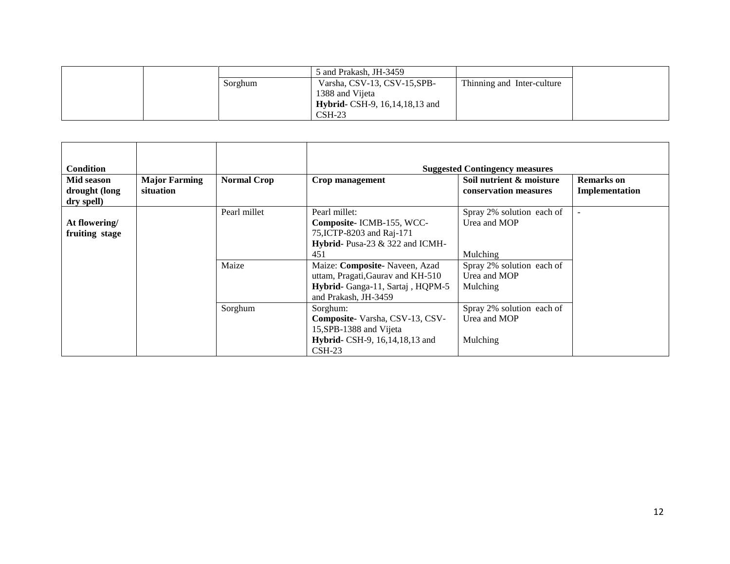|  |         | 5 and Prakash, JH-3459                   |                            |
|--|---------|------------------------------------------|----------------------------|
|  | Sorghum | Varsha, CSV-13, CSV-15, SPB-             | Thinning and Inter-culture |
|  |         | 1388 and Vijeta                          |                            |
|  |         | <b>Hybrid-</b> CSH-9, 16, 14, 18, 13 and |                            |
|  |         | $CSH-23$                                 |                            |

| <b>Condition</b> |                      |                    |                                   | <b>Suggested Contingency measures</b> |                          |
|------------------|----------------------|--------------------|-----------------------------------|---------------------------------------|--------------------------|
| Mid season       | <b>Major Farming</b> | <b>Normal Crop</b> | Crop management                   | Soil nutrient & moisture              | <b>Remarks</b> on        |
| drought (long    | situation            |                    |                                   | conservation measures                 | Implementation           |
| dry spell)       |                      |                    |                                   |                                       |                          |
|                  |                      | Pearl millet       | Pearl millet:                     | Spray 2% solution each of             | $\overline{\phantom{a}}$ |
| At flowering/    |                      |                    | Composite-ICMB-155, WCC-          | Urea and MOP                          |                          |
| fruiting stage   |                      |                    | 75, ICTP-8203 and Raj-171         |                                       |                          |
|                  |                      |                    | Hybrid- Pusa-23 & 322 and ICMH-   |                                       |                          |
|                  |                      |                    | 451                               | Mulching                              |                          |
|                  |                      | Maize              | Maize: Composite- Naveen, Azad    | Spray 2% solution each of             |                          |
|                  |                      |                    | uttam, Pragati, Gaurav and KH-510 | Urea and MOP                          |                          |
|                  |                      |                    | Hybrid- Ganga-11, Sartaj, HQPM-5  | Mulching                              |                          |
|                  |                      |                    | and Prakash, JH-3459              |                                       |                          |
|                  |                      | Sorghum            | Sorghum:                          | Spray 2% solution each of             |                          |
|                  |                      |                    | Composite-Varsha, CSV-13, CSV-    | Urea and MOP                          |                          |
|                  |                      |                    | 15, SPB-1388 and Vijeta           |                                       |                          |
|                  |                      |                    | Hybrid- CSH-9, 16, 14, 18, 13 and | Mulching                              |                          |
|                  |                      |                    | $\text{CSH-23}$                   |                                       |                          |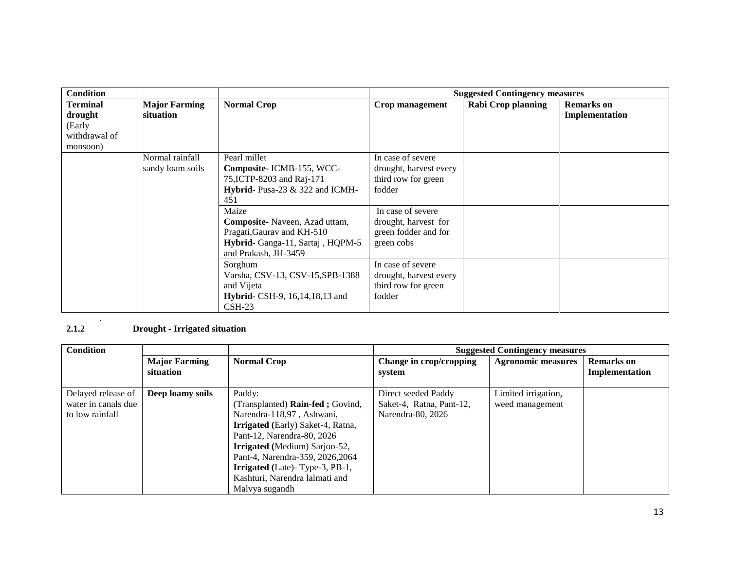| <b>Condition</b>                                                  |                                     |                                                                                                                                                                                                                                                    |                                                                                                                                                                 | <b>Suggested Contingency measures</b> |                                     |
|-------------------------------------------------------------------|-------------------------------------|----------------------------------------------------------------------------------------------------------------------------------------------------------------------------------------------------------------------------------------------------|-----------------------------------------------------------------------------------------------------------------------------------------------------------------|---------------------------------------|-------------------------------------|
| <b>Terminal</b><br>drought<br>(Early<br>withdrawal of<br>monsoon) | <b>Major Farming</b><br>situation   | <b>Normal Crop</b>                                                                                                                                                                                                                                 | Crop management                                                                                                                                                 | <b>Rabi Crop planning</b>             | <b>Remarks</b> on<br>Implementation |
|                                                                   | Normal rainfall<br>sandy loam soils | Pearl millet<br>Composite-ICMB-155, WCC-<br>75, ICTP-8203 and Raj-171<br>Hybrid- Pusa-23 & 322 and ICMH-<br>451<br>Maize<br>Composite-Naveen, Azad uttam,<br>Pragati, Gaurav and KH-510<br>Hybrid-Ganga-11, Sartaj, HQPM-5<br>and Prakash, JH-3459 | In case of severe<br>drought, harvest every<br>third row for green<br>fodder<br>In case of severe<br>drought, harvest for<br>green fodder and for<br>green cobs |                                       |                                     |
|                                                                   |                                     | Sorghum<br>Varsha, CSV-13, CSV-15, SPB-1388<br>and Vijeta<br>Hybrid- CSH-9, 16, 14, 18, 13 and<br>$\text{CSH-23}$                                                                                                                                  | In case of severe<br>drought, harvest every<br>third row for green<br>fodder                                                                                    |                                       |                                     |

#### . **2.1.2 Drought - Irrigated situation**

| <b>Condition</b>    |                                   |                                          |                                   | <b>Suggested Contingency measures</b> |                                     |
|---------------------|-----------------------------------|------------------------------------------|-----------------------------------|---------------------------------------|-------------------------------------|
|                     | <b>Major Farming</b><br>situation | <b>Normal Crop</b>                       | Change in crop/cropping<br>system | <b>Agronomic measures</b>             | <b>Remarks</b> on<br>Implementation |
|                     |                                   |                                          |                                   |                                       |                                     |
| Delayed release of  | Deep loamy soils                  | Paddy:                                   | Direct seeded Paddy               | Limited irrigation,                   |                                     |
| water in canals due |                                   | (Transplanted) Rain-fed; Govind,         | Saket-4, Ratna, Pant-12,          | weed management                       |                                     |
| to low rainfall     |                                   | Narendra-118,97, Ashwani,                | Narendra-80, 2026                 |                                       |                                     |
|                     |                                   | <b>Irrigated</b> (Early) Saket-4, Ratna, |                                   |                                       |                                     |
|                     |                                   | Pant-12, Narendra-80, 2026               |                                   |                                       |                                     |
|                     |                                   | <b>Irrigated</b> (Medium) Sarjoo-52,     |                                   |                                       |                                     |
|                     |                                   | Pant-4, Narendra-359, 2026, 2064         |                                   |                                       |                                     |
|                     |                                   | <b>Irrigated</b> (Late)-Type-3, PB-1,    |                                   |                                       |                                     |
|                     |                                   | Kashturi, Narendra lalmati and           |                                   |                                       |                                     |
|                     |                                   | Malyya sugandh                           |                                   |                                       |                                     |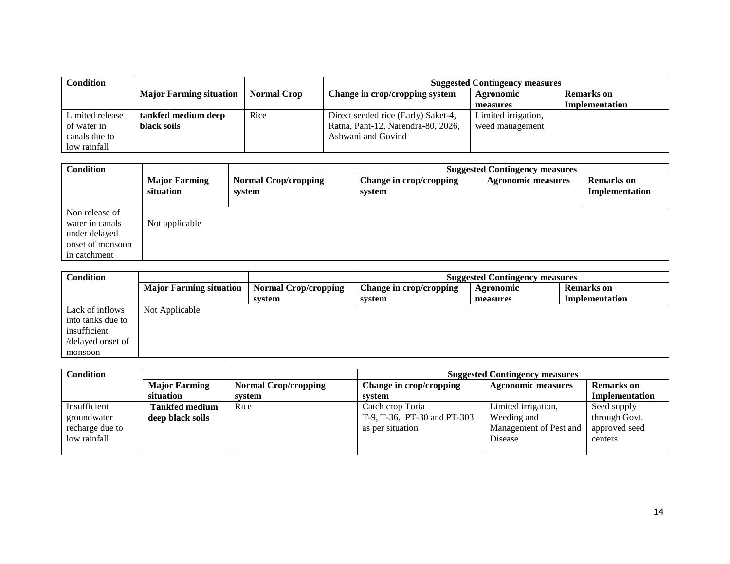| Condition       |                                |                    | <b>Suggested Contingency measures</b> |                     |                   |
|-----------------|--------------------------------|--------------------|---------------------------------------|---------------------|-------------------|
|                 | <b>Major Farming situation</b> | <b>Normal Crop</b> | Change in crop/cropping system        | Agronomic           | <b>Remarks</b> on |
|                 |                                |                    |                                       | measures            | Implementation    |
| Limited release | tankfed medium deep            | Rice               | Direct seeded rice (Early) Saket-4,   | Limited irrigation, |                   |
| of water in     | black soils                    |                    | Ratna, Pant-12, Narendra-80, 2026,    | weed management     |                   |
| canals due to   |                                |                    | Ashwani and Govind                    |                     |                   |
| low rainfall    |                                |                    |                                       |                     |                   |

| <b>Condition</b>                                                                       |                                   |                                       | <b>Suggested Contingency measures</b> |                           |                                     |
|----------------------------------------------------------------------------------------|-----------------------------------|---------------------------------------|---------------------------------------|---------------------------|-------------------------------------|
|                                                                                        | <b>Major Farming</b><br>situation | <b>Normal Crop/cropping</b><br>system | Change in crop/cropping<br>system     | <b>Agronomic measures</b> | <b>Remarks</b> on<br>Implementation |
| Non release of<br>water in canals<br>under delayed<br>onset of monsoon<br>in catchment | Not applicable                    |                                       |                                       |                           |                                     |

| <b>Condition</b>  |                                |                             | <b>Suggested Contingency measures</b> |           |                   |
|-------------------|--------------------------------|-----------------------------|---------------------------------------|-----------|-------------------|
|                   | <b>Major Farming situation</b> | <b>Normal Crop/cropping</b> | Change in crop/cropping               | Agronomic | <b>Remarks</b> on |
|                   |                                | system                      | system                                | measures  | Implementation    |
| Lack of inflows   | Not Applicable                 |                             |                                       |           |                   |
| into tanks due to |                                |                             |                                       |           |                   |
| insufficient      |                                |                             |                                       |           |                   |
| /delayed onset of |                                |                             |                                       |           |                   |
| monsoon           |                                |                             |                                       |           |                   |

| <b>Condition</b>                                               |                                           |                             | <b>Suggested Contingency measures</b>                               |                                                                         |                                                          |
|----------------------------------------------------------------|-------------------------------------------|-----------------------------|---------------------------------------------------------------------|-------------------------------------------------------------------------|----------------------------------------------------------|
|                                                                | <b>Major Farming</b>                      | <b>Normal Crop/cropping</b> | Change in crop/cropping                                             | <b>Agronomic measures</b>                                               | <b>Remarks</b> on                                        |
|                                                                | situation                                 | system                      | system                                                              |                                                                         | Implementation                                           |
| Insufficient<br>groundwater<br>recharge due to<br>low rainfall | <b>Tankfed medium</b><br>deep black soils | Rice                        | Catch crop Toria<br>T-9, T-36, PT-30 and PT-303<br>as per situation | Limited irrigation,<br>Weeding and<br>Management of Pest and<br>Disease | Seed supply<br>through Govt.<br>approved seed<br>centers |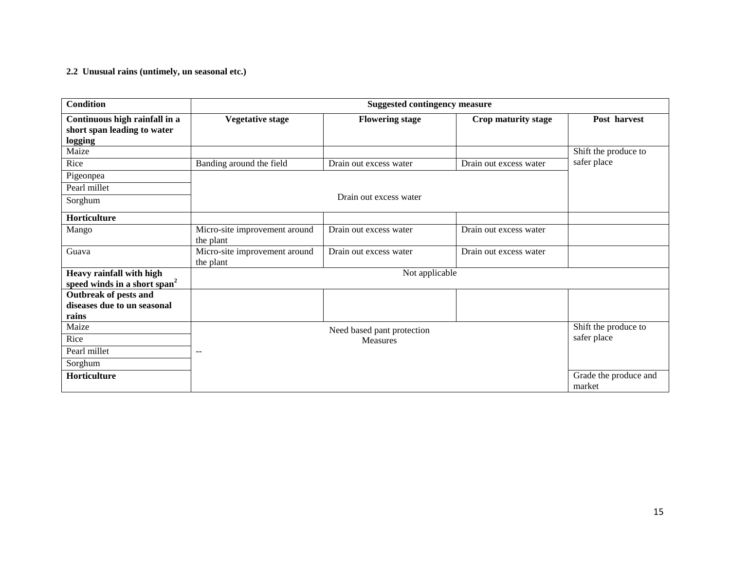#### **2.2 Unusual rains (untimely, un seasonal etc.)**

| <b>Condition</b>                                                        | <b>Suggested contingency measure</b>       |                            |                        |                                 |  |  |
|-------------------------------------------------------------------------|--------------------------------------------|----------------------------|------------------------|---------------------------------|--|--|
| Continuous high rainfall in a<br>short span leading to water<br>logging | <b>Vegetative stage</b>                    | <b>Flowering stage</b>     | Crop maturity stage    | Post harvest                    |  |  |
| Maize                                                                   |                                            |                            |                        | Shift the produce to            |  |  |
| Rice                                                                    | Banding around the field                   | Drain out excess water     | Drain out excess water | safer place                     |  |  |
| Pigeonpea                                                               |                                            |                            |                        |                                 |  |  |
| Pearl millet                                                            |                                            |                            |                        |                                 |  |  |
| Sorghum                                                                 |                                            | Drain out excess water     |                        |                                 |  |  |
| Horticulture                                                            |                                            |                            |                        |                                 |  |  |
| Mango                                                                   | Micro-site improvement around<br>the plant | Drain out excess water     | Drain out excess water |                                 |  |  |
| Guava                                                                   | Micro-site improvement around<br>the plant | Drain out excess water     | Drain out excess water |                                 |  |  |
| Heavy rainfall with high<br>speed winds in a short span <sup>2</sup>    |                                            | Not applicable             |                        |                                 |  |  |
| <b>Outbreak of pests and</b><br>diseases due to un seasonal<br>rains    |                                            |                            |                        |                                 |  |  |
| Maize                                                                   |                                            | Need based pant protection |                        | Shift the produce to            |  |  |
| Rice                                                                    |                                            | <b>Measures</b>            |                        | safer place                     |  |  |
| Pearl millet                                                            | $ -$                                       |                            |                        |                                 |  |  |
| Sorghum                                                                 |                                            |                            |                        |                                 |  |  |
| Horticulture                                                            |                                            |                            |                        | Grade the produce and<br>market |  |  |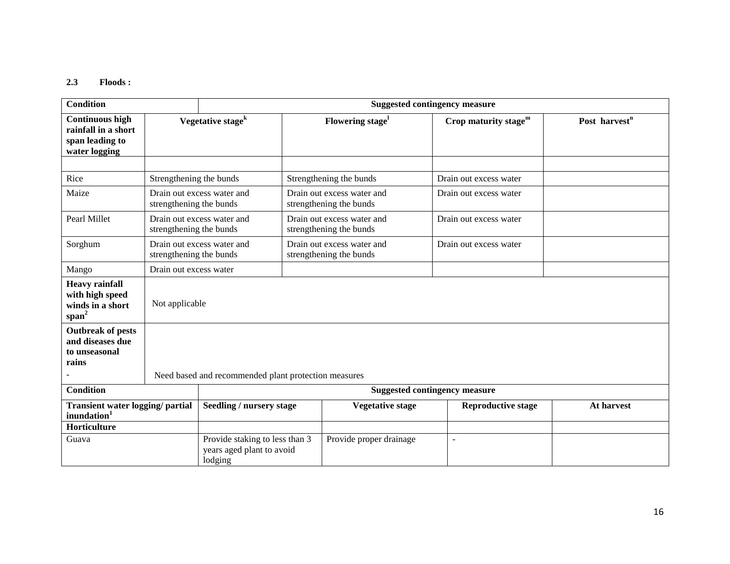#### **2.3 Floods :**

| <b>Condition</b>                                                                  |                                                       | <b>Suggested contingency measure</b>                                   |  |                                                       |                |                           |                           |
|-----------------------------------------------------------------------------------|-------------------------------------------------------|------------------------------------------------------------------------|--|-------------------------------------------------------|----------------|---------------------------|---------------------------|
| <b>Continuous high</b><br>rainfall in a short<br>span leading to<br>water logging |                                                       | Vegetative stage <sup>k</sup>                                          |  | Flowering stage <sup>1</sup>                          |                | Crop maturity stage $m$   | Post harvest <sup>n</sup> |
|                                                                                   |                                                       |                                                                        |  |                                                       |                |                           |                           |
| Rice                                                                              | Strengthening the bunds                               |                                                                        |  | Strengthening the bunds                               |                | Drain out excess water    |                           |
| Maize                                                                             | Drain out excess water and<br>strengthening the bunds |                                                                        |  | Drain out excess water and<br>strengthening the bunds |                | Drain out excess water    |                           |
| Pearl Millet                                                                      | strengthening the bunds                               | Drain out excess water and                                             |  | Drain out excess water and<br>strengthening the bunds |                | Drain out excess water    |                           |
| Sorghum                                                                           | strengthening the bunds                               | Drain out excess water and                                             |  | Drain out excess water and<br>strengthening the bunds |                | Drain out excess water    |                           |
| Mango                                                                             | Drain out excess water                                |                                                                        |  |                                                       |                |                           |                           |
| <b>Heavy rainfall</b><br>with high speed<br>winds in a short<br>$span^2$          | Not applicable                                        |                                                                        |  |                                                       |                |                           |                           |
| <b>Outbreak of pests</b><br>and diseases due<br>to unseasonal<br>rains            |                                                       |                                                                        |  |                                                       |                |                           |                           |
|                                                                                   | Need based and recommended plant protection measures  |                                                                        |  |                                                       |                |                           |                           |
| <b>Condition</b>                                                                  |                                                       |                                                                        |  | <b>Suggested contingency measure</b>                  |                |                           |                           |
| Transient water logging/ partial<br>inundation <sup>1</sup>                       |                                                       | Seedling / nursery stage                                               |  | <b>Vegetative stage</b>                               |                | <b>Reproductive stage</b> | At harvest                |
| Horticulture                                                                      |                                                       |                                                                        |  |                                                       |                |                           |                           |
| Guava                                                                             |                                                       | Provide staking to less than 3<br>years aged plant to avoid<br>lodging |  | Provide proper drainage                               | $\overline{a}$ |                           |                           |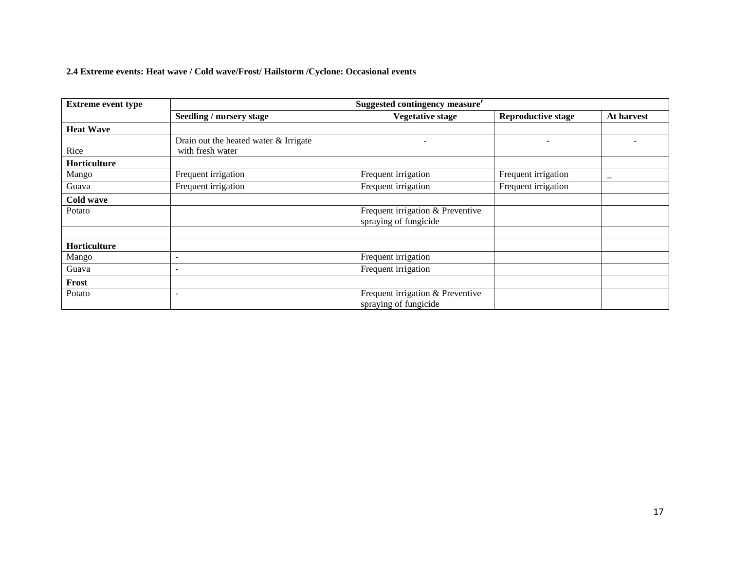# **2.4 Extreme events: Heat wave / Cold wave/Frost/ Hailstorm /Cyclone: Occasional events**

| <b>Extreme event type</b> | Suggested contingency measure <sup>r</sup> |                                                           |                           |            |  |  |  |  |
|---------------------------|--------------------------------------------|-----------------------------------------------------------|---------------------------|------------|--|--|--|--|
|                           | Seedling / nursery stage                   | <b>Vegetative stage</b>                                   | <b>Reproductive stage</b> | At harvest |  |  |  |  |
| <b>Heat Wave</b>          |                                            |                                                           |                           |            |  |  |  |  |
|                           | Drain out the heated water & Irrigate      |                                                           |                           |            |  |  |  |  |
| Rice                      | with fresh water                           |                                                           |                           |            |  |  |  |  |
| <b>Horticulture</b>       |                                            |                                                           |                           |            |  |  |  |  |
| Mango                     | Frequent irrigation                        | Frequent irrigation                                       | Frequent irrigation       |            |  |  |  |  |
| Guava                     | Frequent irrigation                        | Frequent irrigation                                       | Frequent irrigation       |            |  |  |  |  |
| Cold wave                 |                                            |                                                           |                           |            |  |  |  |  |
| Potato                    |                                            | Frequent irrigation & Preventive<br>spraying of fungicide |                           |            |  |  |  |  |
|                           |                                            |                                                           |                           |            |  |  |  |  |
| <b>Horticulture</b>       |                                            |                                                           |                           |            |  |  |  |  |
| Mango                     | $\overline{\phantom{a}}$                   | Frequent irrigation                                       |                           |            |  |  |  |  |
| Guava                     | $\overline{\phantom{0}}$                   | Frequent irrigation                                       |                           |            |  |  |  |  |
| Frost                     |                                            |                                                           |                           |            |  |  |  |  |
| Potato                    |                                            | Frequent irrigation & Preventive<br>spraying of fungicide |                           |            |  |  |  |  |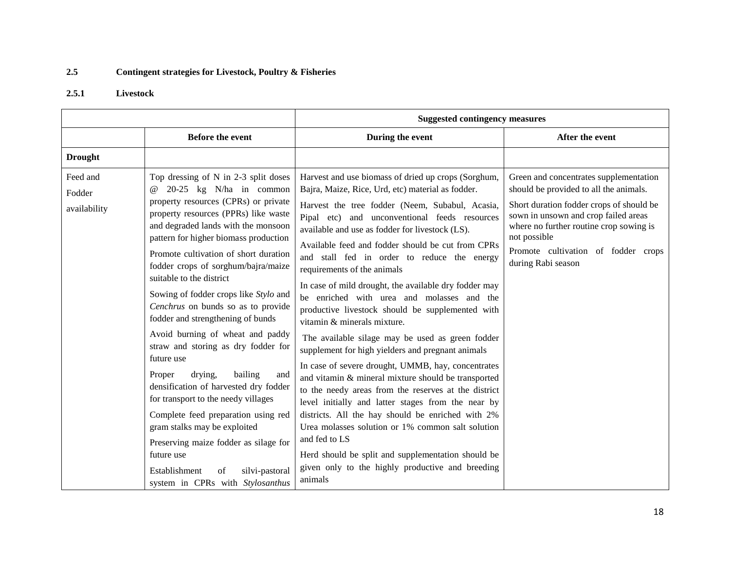## **2.5 Contingent strategies for Livestock, Poultry & Fisheries**

### **2.5.1 Livestock**

|                                    |                                                                                                                                                                                                                                                                                                                                                                                                                                                                                                                                                                                                                                                                                                                                                                                                                                                                                                          | <b>Suggested contingency measures</b>                                                                                                                                                                                                                                                                                                                                                                                                                                                                                                                                                                                                                                                                                                                                                                                                                                                                                                                                                                                                                                                                                                                                            |                                                                                                                                                                                                                                                                                              |  |
|------------------------------------|----------------------------------------------------------------------------------------------------------------------------------------------------------------------------------------------------------------------------------------------------------------------------------------------------------------------------------------------------------------------------------------------------------------------------------------------------------------------------------------------------------------------------------------------------------------------------------------------------------------------------------------------------------------------------------------------------------------------------------------------------------------------------------------------------------------------------------------------------------------------------------------------------------|----------------------------------------------------------------------------------------------------------------------------------------------------------------------------------------------------------------------------------------------------------------------------------------------------------------------------------------------------------------------------------------------------------------------------------------------------------------------------------------------------------------------------------------------------------------------------------------------------------------------------------------------------------------------------------------------------------------------------------------------------------------------------------------------------------------------------------------------------------------------------------------------------------------------------------------------------------------------------------------------------------------------------------------------------------------------------------------------------------------------------------------------------------------------------------|----------------------------------------------------------------------------------------------------------------------------------------------------------------------------------------------------------------------------------------------------------------------------------------------|--|
|                                    | Before the event                                                                                                                                                                                                                                                                                                                                                                                                                                                                                                                                                                                                                                                                                                                                                                                                                                                                                         | During the event                                                                                                                                                                                                                                                                                                                                                                                                                                                                                                                                                                                                                                                                                                                                                                                                                                                                                                                                                                                                                                                                                                                                                                 | After the event                                                                                                                                                                                                                                                                              |  |
| <b>Drought</b>                     |                                                                                                                                                                                                                                                                                                                                                                                                                                                                                                                                                                                                                                                                                                                                                                                                                                                                                                          |                                                                                                                                                                                                                                                                                                                                                                                                                                                                                                                                                                                                                                                                                                                                                                                                                                                                                                                                                                                                                                                                                                                                                                                  |                                                                                                                                                                                                                                                                                              |  |
| Feed and<br>Fodder<br>availability | Top dressing of N in 2-3 split doses<br>$20-25$ kg N/ha in common<br>$\omega$<br>property resources (CPRs) or private<br>property resources (PPRs) like waste<br>and degraded lands with the monsoon<br>pattern for higher biomass production<br>Promote cultivation of short duration<br>fodder crops of sorghum/bajra/maize<br>suitable to the district<br>Sowing of fodder crops like Stylo and<br>Cenchrus on bunds so as to provide<br>fodder and strengthening of bunds<br>Avoid burning of wheat and paddy<br>straw and storing as dry fodder for<br>future use<br>drying,<br>bailing<br>Proper<br>and<br>densification of harvested dry fodder<br>for transport to the needy villages<br>Complete feed preparation using red<br>gram stalks may be exploited<br>Preserving maize fodder as silage for<br>future use<br>Establishment<br>silvi-pastoral<br>of<br>system in CPRs with Stylosanthus | Harvest and use biomass of dried up crops (Sorghum,<br>Bajra, Maize, Rice, Urd, etc) material as fodder.<br>Harvest the tree fodder (Neem, Subabul, Acasia,<br>Pipal etc) and unconventional feeds resources<br>available and use as fodder for livestock (LS).<br>Available feed and fodder should be cut from CPRs<br>and stall fed in order to reduce the energy<br>requirements of the animals<br>In case of mild drought, the available dry fodder may<br>be enriched with urea and molasses and the<br>productive livestock should be supplemented with<br>vitamin & minerals mixture.<br>The available silage may be used as green fodder<br>supplement for high yielders and pregnant animals<br>In case of severe drought, UMMB, hay, concentrates<br>and vitamin & mineral mixture should be transported<br>to the needy areas from the reserves at the district<br>level initially and latter stages from the near by<br>districts. All the hay should be enriched with 2%<br>Urea molasses solution or 1% common salt solution<br>and fed to LS<br>Herd should be split and supplementation should be<br>given only to the highly productive and breeding<br>animals | Green and concentrates supplementation<br>should be provided to all the animals.<br>Short duration fodder crops of should be<br>sown in unsown and crop failed areas<br>where no further routine crop sowing is<br>not possible<br>Promote cultivation of fodder crops<br>during Rabi season |  |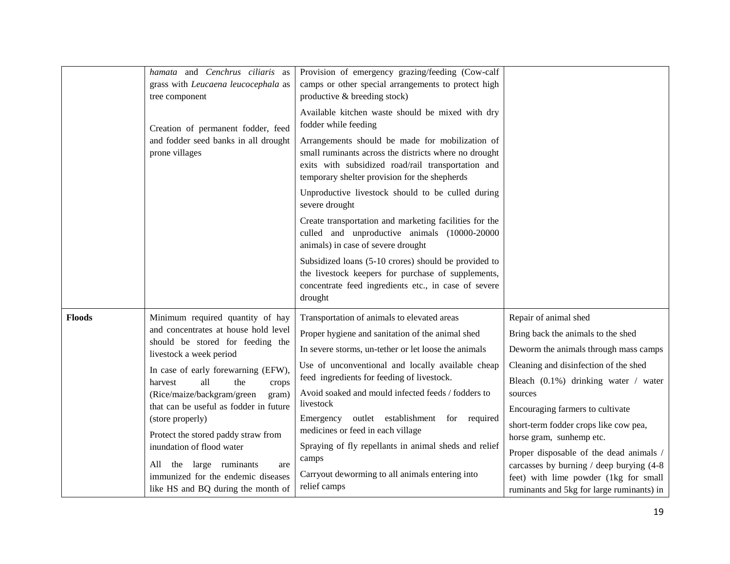|               | hamata and Cenchrus ciliaris as<br>grass with Leucaena leucocephala as<br>tree component<br>Creation of permanent fodder, feed<br>and fodder seed banks in all drought<br>prone villages                                                                                                                                                                                                                                                                                                                   | Provision of emergency grazing/feeding (Cow-calf<br>camps or other special arrangements to protect high<br>productive & breeding stock)<br>Available kitchen waste should be mixed with dry<br>fodder while feeding<br>Arrangements should be made for mobilization of<br>small ruminants across the districts where no drought<br>exits with subsidized road/rail transportation and<br>temporary shelter provision for the shepherds<br>Unproductive livestock should to be culled during<br>severe drought<br>Create transportation and marketing facilities for the<br>culled and unproductive animals (10000-20000<br>animals) in case of severe drought<br>Subsidized loans (5-10 crores) should be provided to<br>the livestock keepers for purchase of supplements,<br>concentrate feed ingredients etc., in case of severe<br>drought |                                                                                                                                                                                                                                                                                                                                                                                                                                                                                         |
|---------------|------------------------------------------------------------------------------------------------------------------------------------------------------------------------------------------------------------------------------------------------------------------------------------------------------------------------------------------------------------------------------------------------------------------------------------------------------------------------------------------------------------|------------------------------------------------------------------------------------------------------------------------------------------------------------------------------------------------------------------------------------------------------------------------------------------------------------------------------------------------------------------------------------------------------------------------------------------------------------------------------------------------------------------------------------------------------------------------------------------------------------------------------------------------------------------------------------------------------------------------------------------------------------------------------------------------------------------------------------------------|-----------------------------------------------------------------------------------------------------------------------------------------------------------------------------------------------------------------------------------------------------------------------------------------------------------------------------------------------------------------------------------------------------------------------------------------------------------------------------------------|
| <b>Floods</b> | Minimum required quantity of hay<br>and concentrates at house hold level<br>should be stored for feeding the<br>livestock a week period<br>In case of early forewarning (EFW),<br>all<br>the<br>harvest<br>crops<br>(Rice/maize/backgram/green<br>gram)<br>that can be useful as fodder in future<br>(store properly)<br>Protect the stored paddy straw from<br>inundation of flood water<br>the large ruminants<br>All<br>are<br>immunized for the endemic diseases<br>like HS and BQ during the month of | Transportation of animals to elevated areas<br>Proper hygiene and sanitation of the animal shed<br>In severe storms, un-tether or let loose the animals<br>Use of unconventional and locally available cheap<br>feed ingredients for feeding of livestock.<br>Avoid soaked and mould infected feeds / fodders to<br>livestock<br>outlet establishment for required<br>Emergency<br>medicines or feed in each village<br>Spraying of fly repellants in animal sheds and relief<br>camps<br>Carryout deworming to all animals entering into<br>relief camps                                                                                                                                                                                                                                                                                      | Repair of animal shed<br>Bring back the animals to the shed<br>Deworm the animals through mass camps<br>Cleaning and disinfection of the shed<br>Bleach (0.1%) drinking water / water<br>sources<br>Encouraging farmers to cultivate<br>short-term fodder crops like cow pea,<br>horse gram, sunhemp etc.<br>Proper disposable of the dead animals /<br>carcasses by burning / deep burying (4-8)<br>feet) with lime powder (1kg for small<br>ruminants and 5kg for large ruminants) in |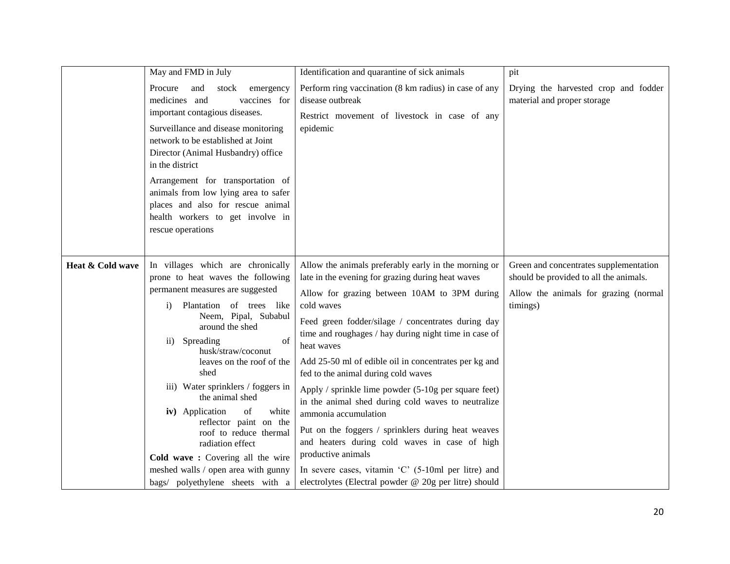|                  | May and FMD in July                                                                                                                                                                                                                                                                                                                                                                                                                                                                                                                                                         | Identification and quarantine of sick animals                                                                                                                                                                                                                                                                                                                                                                                                                                                                                                                                                                                                                                                                                                                                                               | pit                                                                                                                                   |
|------------------|-----------------------------------------------------------------------------------------------------------------------------------------------------------------------------------------------------------------------------------------------------------------------------------------------------------------------------------------------------------------------------------------------------------------------------------------------------------------------------------------------------------------------------------------------------------------------------|-------------------------------------------------------------------------------------------------------------------------------------------------------------------------------------------------------------------------------------------------------------------------------------------------------------------------------------------------------------------------------------------------------------------------------------------------------------------------------------------------------------------------------------------------------------------------------------------------------------------------------------------------------------------------------------------------------------------------------------------------------------------------------------------------------------|---------------------------------------------------------------------------------------------------------------------------------------|
|                  | Procure<br>and<br>stock<br>emergency<br>medicines and<br>vaccines for<br>important contagious diseases.<br>Surveillance and disease monitoring<br>network to be established at Joint<br>Director (Animal Husbandry) office<br>in the district<br>Arrangement for transportation of<br>animals from low lying area to safer<br>places and also for rescue animal<br>health workers to get involve in<br>rescue operations                                                                                                                                                    | Perform ring vaccination (8 km radius) in case of any<br>disease outbreak<br>Restrict movement of livestock in case of any<br>epidemic                                                                                                                                                                                                                                                                                                                                                                                                                                                                                                                                                                                                                                                                      | Drying the harvested crop and fodder<br>material and proper storage                                                                   |
| Heat & Cold wave | In villages which are chronically<br>prone to heat waves the following<br>permanent measures are suggested<br>Plantation of trees like<br>$\bf{1)}$<br>Neem, Pipal, Subabul<br>around the shed<br>Spreading<br>of<br>$\rm ii)$<br>husk/straw/coconut<br>leaves on the roof of the<br>shed<br>iii) Water sprinklers / foggers in<br>the animal shed<br>white<br>iv) Application<br>of<br>reflector paint on the<br>roof to reduce thermal<br>radiation effect<br>Cold wave: Covering all the wire<br>meshed walls / open area with gunny<br>bags/ polyethylene sheets with a | Allow the animals preferably early in the morning or<br>late in the evening for grazing during heat waves<br>Allow for grazing between 10AM to 3PM during<br>cold waves<br>Feed green fodder/silage / concentrates during day<br>time and roughages / hay during night time in case of<br>heat waves<br>Add 25-50 ml of edible oil in concentrates per kg and<br>fed to the animal during cold waves<br>Apply / sprinkle lime powder (5-10g per square feet)<br>in the animal shed during cold waves to neutralize<br>ammonia accumulation<br>Put on the foggers / sprinklers during heat weaves<br>and heaters during cold waves in case of high<br>productive animals<br>In severe cases, vitamin $^{\circ}$ C $^{\circ}$ (5-10ml per litre) and<br>electrolytes (Electral powder @ 20g per litre) should | Green and concentrates supplementation<br>should be provided to all the animals.<br>Allow the animals for grazing (normal<br>timings) |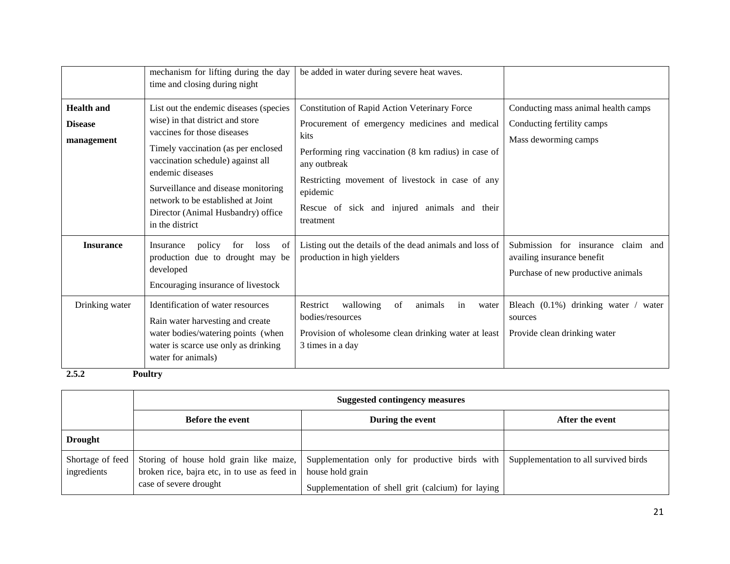|                                                   | mechanism for lifting during the day<br>time and closing during night                                                                                                                                                                                                                                                                           | be added in water during severe heat waves.                                                                                                                                                                                                                                                                  |                                                                                                           |
|---------------------------------------------------|-------------------------------------------------------------------------------------------------------------------------------------------------------------------------------------------------------------------------------------------------------------------------------------------------------------------------------------------------|--------------------------------------------------------------------------------------------------------------------------------------------------------------------------------------------------------------------------------------------------------------------------------------------------------------|-----------------------------------------------------------------------------------------------------------|
| <b>Health and</b><br><b>Disease</b><br>management | List out the endemic diseases (species<br>wise) in that district and store<br>vaccines for those diseases<br>Timely vaccination (as per enclosed<br>vaccination schedule) against all<br>endemic diseases<br>Surveillance and disease monitoring<br>network to be established at Joint<br>Director (Animal Husbandry) office<br>in the district | Constitution of Rapid Action Veterinary Force<br>Procurement of emergency medicines and medical<br>kits<br>Performing ring vaccination (8 km radius) in case of<br>any outbreak<br>Restricting movement of livestock in case of any<br>epidemic<br>Rescue of sick and injured animals and their<br>treatment | Conducting mass animal health camps<br>Conducting fertility camps<br>Mass deworming camps                 |
| <b>Insurance</b>                                  | policy<br>for<br>of<br>Insurance<br>loss<br>production due to drought may be<br>developed<br>Encouraging insurance of livestock                                                                                                                                                                                                                 | Listing out the details of the dead animals and loss of<br>production in high yielders                                                                                                                                                                                                                       | Submission for insurance<br>claim and<br>availing insurance benefit<br>Purchase of new productive animals |
| Drinking water                                    | Identification of water resources<br>Rain water harvesting and create<br>water bodies/watering points (when<br>water is scarce use only as drinking<br>water for animals)                                                                                                                                                                       | wallowing<br>of<br>Restrict<br>in<br>animals<br>water<br>bodies/resources<br>Provision of wholesome clean drinking water at least<br>3 times in a day                                                                                                                                                        | Bleach $(0.1\%)$ drinking water / water<br>sources<br>Provide clean drinking water                        |

**2.5.2 Poultry** 

|                                 | <b>Suggested contingency measures</b>                                                                             |                                                                                                                          |                                       |  |  |  |
|---------------------------------|-------------------------------------------------------------------------------------------------------------------|--------------------------------------------------------------------------------------------------------------------------|---------------------------------------|--|--|--|
|                                 | <b>Before the event</b>                                                                                           | During the event                                                                                                         | After the event                       |  |  |  |
| <b>Drought</b>                  |                                                                                                                   |                                                                                                                          |                                       |  |  |  |
| Shortage of feed<br>ingredients | Storing of house hold grain like maize,<br>broken rice, bajra etc, in to use as feed in<br>case of severe drought | Supplementation only for productive birds with<br>house hold grain<br>Supplementation of shell grit (calcium) for laying | Supplementation to all survived birds |  |  |  |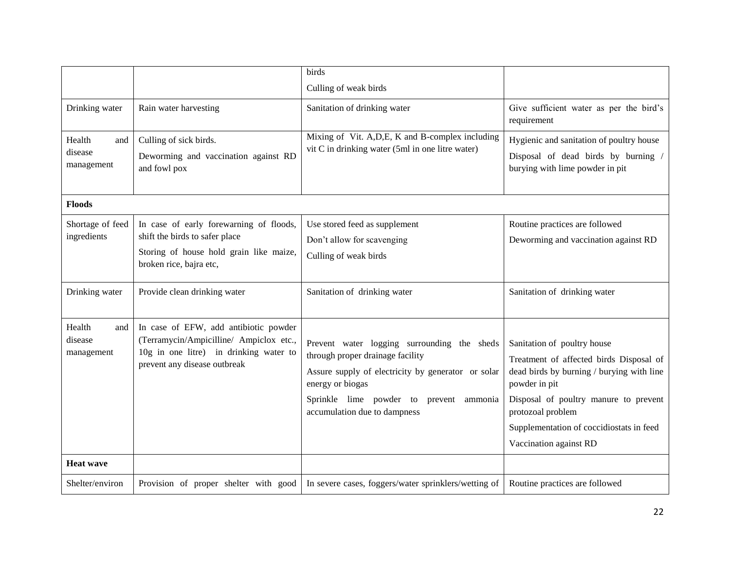|                                        |                                                                                                                                                            | birds                                                                                                                                                                                                                                |                                                                                                                                                                                                                                                                          |
|----------------------------------------|------------------------------------------------------------------------------------------------------------------------------------------------------------|--------------------------------------------------------------------------------------------------------------------------------------------------------------------------------------------------------------------------------------|--------------------------------------------------------------------------------------------------------------------------------------------------------------------------------------------------------------------------------------------------------------------------|
|                                        |                                                                                                                                                            | Culling of weak birds                                                                                                                                                                                                                |                                                                                                                                                                                                                                                                          |
| Drinking water                         | Rain water harvesting                                                                                                                                      | Sanitation of drinking water                                                                                                                                                                                                         | Give sufficient water as per the bird's<br>requirement                                                                                                                                                                                                                   |
| Health<br>and<br>disease<br>management | Culling of sick birds.<br>Deworming and vaccination against RD<br>and fowl pox                                                                             | Mixing of Vit. A, D, E, K and B-complex including<br>vit C in drinking water (5ml in one litre water)                                                                                                                                | Hygienic and sanitation of poultry house<br>Disposal of dead birds by burning /<br>burying with lime powder in pit                                                                                                                                                       |
| <b>Floods</b>                          |                                                                                                                                                            |                                                                                                                                                                                                                                      |                                                                                                                                                                                                                                                                          |
| Shortage of feed<br>ingredients        | In case of early forewarning of floods,<br>shift the birds to safer place<br>Storing of house hold grain like maize,<br>broken rice, bajra etc,            | Use stored feed as supplement<br>Don't allow for scavenging<br>Culling of weak birds                                                                                                                                                 | Routine practices are followed<br>Deworming and vaccination against RD                                                                                                                                                                                                   |
| Drinking water                         | Provide clean drinking water                                                                                                                               | Sanitation of drinking water                                                                                                                                                                                                         | Sanitation of drinking water                                                                                                                                                                                                                                             |
| Health<br>and<br>disease<br>management | In case of EFW, add antibiotic powder<br>(Terramycin/Ampicilline/ Ampiclox etc.,<br>10g in one litre) in drinking water to<br>prevent any disease outbreak | Prevent water logging surrounding the sheds<br>through proper drainage facility<br>Assure supply of electricity by generator or solar<br>energy or biogas<br>Sprinkle lime powder to prevent ammonia<br>accumulation due to dampness | Sanitation of poultry house<br>Treatment of affected birds Disposal of<br>dead birds by burning / burying with line<br>powder in pit<br>Disposal of poultry manure to prevent<br>protozoal problem<br>Supplementation of coccidiostats in feed<br>Vaccination against RD |
| <b>Heat wave</b>                       |                                                                                                                                                            |                                                                                                                                                                                                                                      |                                                                                                                                                                                                                                                                          |
| Shelter/environ                        | Provision of proper shelter with good                                                                                                                      | In severe cases, foggers/water sprinklers/wetting of                                                                                                                                                                                 | Routine practices are followed                                                                                                                                                                                                                                           |